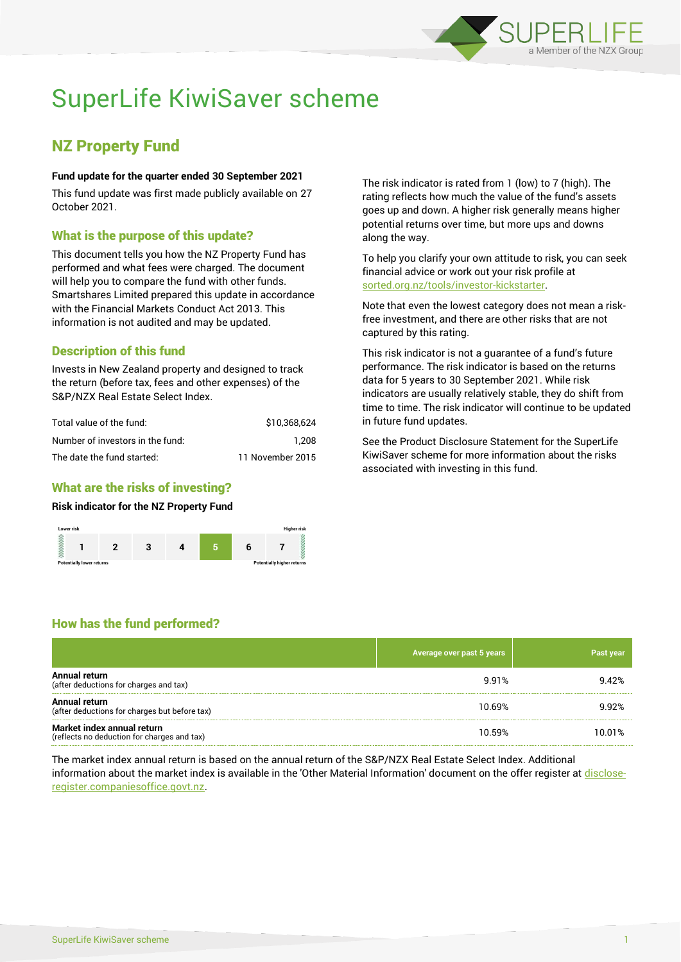

# SuperLife KiwiSaver scheme

## NZ Property Fund

#### **Fund update for the quarter ended 30 September 2021**

This fund update was first made publicly available on 27 October 2021.

## What is the purpose of this update?

This document tells you how the NZ Property Fund has performed and what fees were charged. The document will help you to compare the fund with other funds. Smartshares Limited prepared this update in accordance with the Financial Markets Conduct Act 2013. This information is not audited and may be updated.

## Description of this fund

Invests in New Zealand property and designed to track the return (before tax, fees and other expenses) of the S&P/NZX Real Estate Select Index.

| Total value of the fund:         | \$10,368,624     |
|----------------------------------|------------------|
| Number of investors in the fund: | 1.208            |
| The date the fund started:       | 11 November 2015 |

## What are the risks of investing?

#### **Risk indicator for the NZ Property Fund**



The risk indicator is rated from 1 (low) to 7 (high). The rating reflects how much the value of the fund's assets goes up and down. A higher risk generally means higher potential returns over time, but more ups and downs along the way.

To help you clarify your own attitude to risk, you can seek financial advice or work out your risk profile at [sorted.org.nz/tools/investor-kickstarter.](http://www.sorted.org.nz/tools/investor-kickstarter)

Note that even the lowest category does not mean a riskfree investment, and there are other risks that are not captured by this rating.

This risk indicator is not a guarantee of a fund's future performance. The risk indicator is based on the returns data for 5 years to 30 September 2021. While risk indicators are usually relatively stable, they do shift from time to time. The risk indicator will continue to be updated in future fund updates.

See the Product Disclosure Statement for the SuperLife KiwiSaver scheme for more information about the risks associated with investing in this fund.

## How has the fund performed?

|                                                                           | Average over past 5 years | Past year |
|---------------------------------------------------------------------------|---------------------------|-----------|
| Annual return<br>(after deductions for charges and tax)                   | 9.91%                     | 9.42%     |
| Annual return<br>(after deductions for charges but before tax)            | 10.69%                    | 9.92%     |
| Market index annual return<br>(reflects no deduction for charges and tax) | 10.59%                    | 10.01%    |

The market index annual return is based on the annual return of the S&P/NZX Real Estate Select Index. Additional information about the market index is available in the 'Other Material Information' document on the offer register at [disclose](http://www.disclose-register.companiesoffice.govt.nz/)[register.companiesoffice.govt.nz.](http://www.disclose-register.companiesoffice.govt.nz/)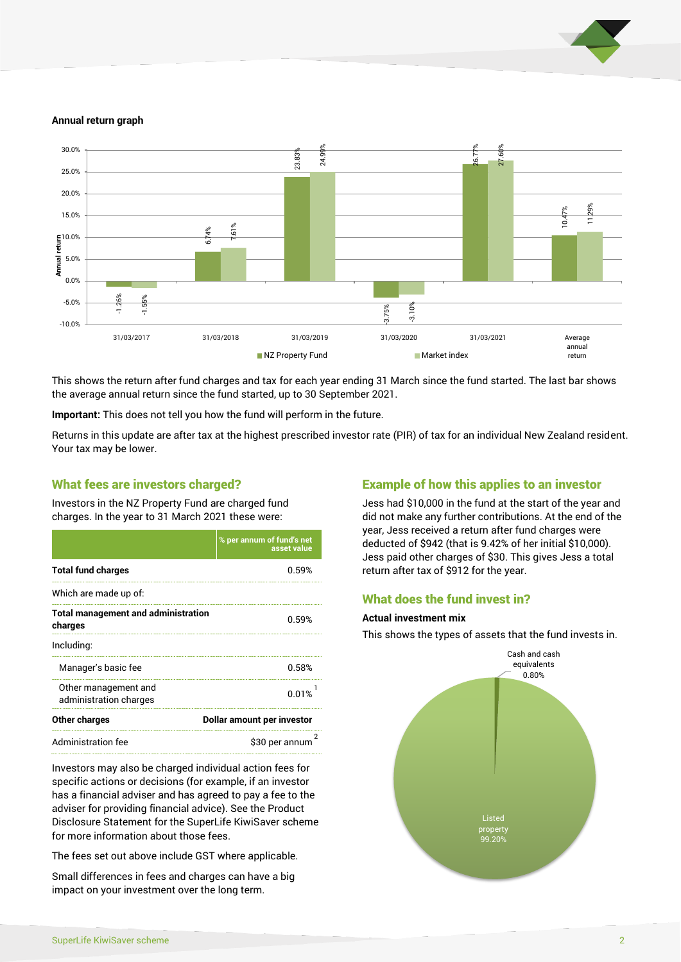

#### **Annual return graph**



This shows the return after fund charges and tax for each year ending 31 March since the fund started. The last bar shows the average annual return since the fund started, up to 30 September 2021.

**Important:** This does not tell you how the fund will perform in the future.

Returns in this update are after tax at the highest prescribed investor rate (PIR) of tax for an individual New Zealand resident. Your tax may be lower.

#### What fees are investors charged?

Investors in the NZ Property Fund are charged fund charges. In the year to 31 March 2021 these were:

|                                                       | % per annum of fund's net<br>asset value |  |
|-------------------------------------------------------|------------------------------------------|--|
| <b>Total fund charges</b>                             | 0.59%                                    |  |
| Which are made up of:                                 |                                          |  |
| <b>Total management and administration</b><br>charges | 0.59%                                    |  |
| Including:                                            |                                          |  |
| Manager's basic fee                                   | 0.58%                                    |  |
| Other management and<br>administration charges        | 0.01%                                    |  |
| Other charges                                         | Dollar amount per investor               |  |
| Administration fee                                    | \$30 per annum                           |  |

Investors may also be charged individual action fees for specific actions or decisions (for example, if an investor has a financial adviser and has agreed to pay a fee to the adviser for providing financial advice). See the Product Disclosure Statement for the SuperLife KiwiSaver scheme for more information about those fees.

The fees set out above include GST where applicable.

Small differences in fees and charges can have a big impact on your investment over the long term.

## Example of how this applies to an investor

Jess had \$10,000 in the fund at the start of the year and did not make any further contributions. At the end of the year, Jess received a return after fund charges were deducted of \$942 (that is 9.42% of her initial \$10,000). Jess paid other charges of \$30. This gives Jess a total return after tax of \$912 for the year.

### What does the fund invest in?

#### **Actual investment mix**

This shows the types of assets that the fund invests in.

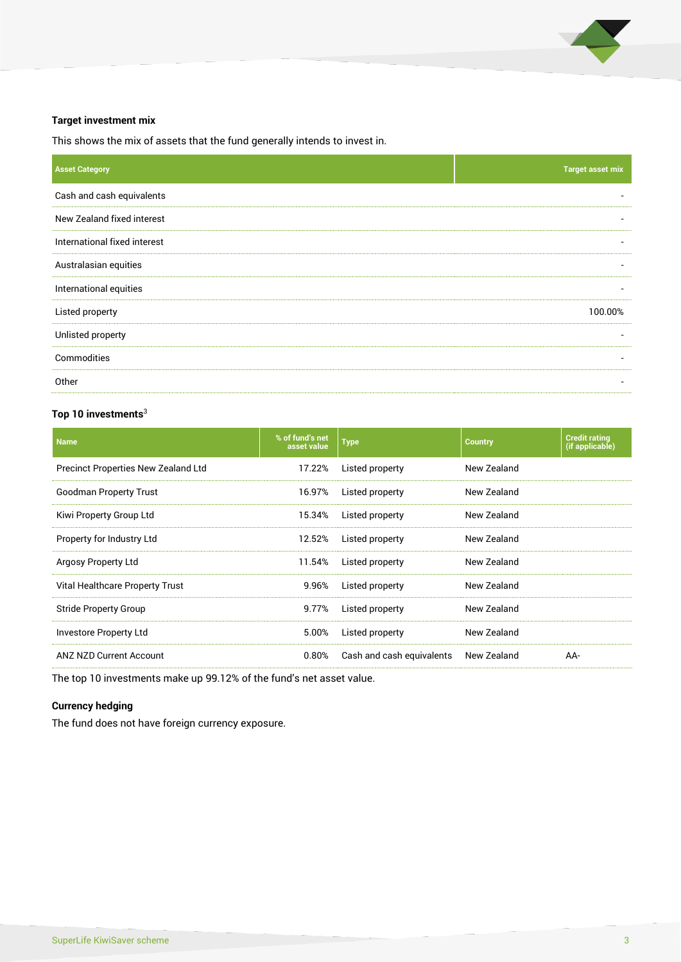

#### **Target investment mix**

This shows the mix of assets that the fund generally intends to invest in.

| <b>Asset Category</b>        | <b>Target asset mix</b> |
|------------------------------|-------------------------|
| Cash and cash equivalents    |                         |
| New Zealand fixed interest   |                         |
| International fixed interest |                         |
| Australasian equities        |                         |
| International equities       |                         |
| Listed property              | 100.00%                 |
| Unlisted property            |                         |
| Commodities                  |                         |
| Other                        |                         |

## **Top 10 investments**<sup>3</sup>

| <b>Name</b>                         | % of fund's net<br>asset value | <b>Type</b>               | <b>Country</b> | <b>Credit rating</b><br>(if applicable) |
|-------------------------------------|--------------------------------|---------------------------|----------------|-----------------------------------------|
| Precinct Properties New Zealand Ltd | 17.22%                         | Listed property           | New Zealand    |                                         |
| <b>Goodman Property Trust</b>       | 16.97%                         | Listed property           | New Zealand    |                                         |
| Kiwi Property Group Ltd             | 15.34%                         | Listed property           | New Zealand    |                                         |
| Property for Industry Ltd           | 12.52%                         | Listed property           | New Zealand    |                                         |
| Argosy Property Ltd                 | 11.54%                         | Listed property           | New Zealand    |                                         |
| Vital Healthcare Property Trust     | 9.96%                          | Listed property           | New Zealand    |                                         |
| <b>Stride Property Group</b>        | 9.77%                          | Listed property           | New Zealand    |                                         |
| Investore Property Ltd              | 5.00%                          | Listed property           | New Zealand    |                                         |
| <b>ANZ NZD Current Account</b>      | 0.80%                          | Cash and cash equivalents | New Zealand    | AA-                                     |

The top 10 investments make up 99.12% of the fund's net asset value.

#### **Currency hedging**

The fund does not have foreign currency exposure.